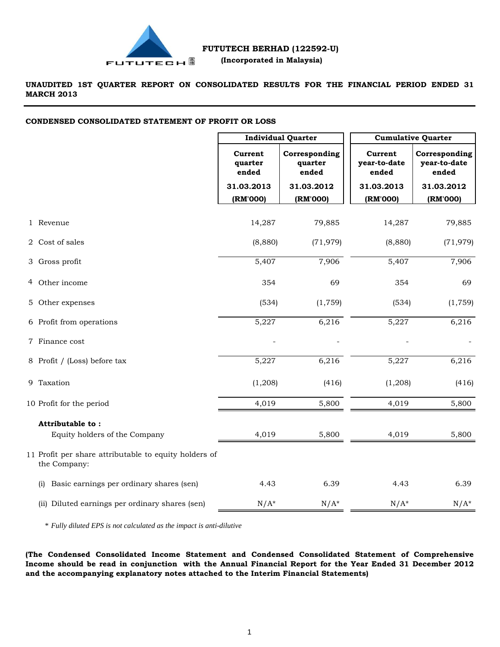

**UNAUDITED 1ST QUARTER REPORT ON CONSOLIDATED RESULTS FOR THE FINANCIAL PERIOD ENDED 31 MARCH 2013**

#### **CONDENSED CONSOLIDATED STATEMENT OF PROFIT OR LOSS**

|                                                                       | <b>Individual Quarter</b>   |                                   | <b>Cumulative Quarter</b>        |                                        |  |
|-----------------------------------------------------------------------|-----------------------------|-----------------------------------|----------------------------------|----------------------------------------|--|
|                                                                       | Current<br>quarter<br>ended | Corresponding<br>quarter<br>ended | Current<br>year-to-date<br>ended | Corresponding<br>year-to-date<br>ended |  |
|                                                                       | 31.03.2013                  | 31.03.2012                        | 31.03.2013                       | 31.03.2012                             |  |
|                                                                       | (RM'000)                    | (RM'000)                          | (RM'000)                         | (RM'000)                               |  |
| 1 Revenue                                                             | 14,287                      | 79,885                            | 14,287                           | 79,885                                 |  |
| 2 Cost of sales                                                       | (8,880)                     | (71, 979)                         | (8,880)                          | (71, 979)                              |  |
| 3 Gross profit                                                        | 5,407                       | 7,906                             | 5,407                            | 7,906                                  |  |
| 4 Other income                                                        | 354                         | 69                                | 354                              | 69                                     |  |
| 5 Other expenses                                                      | (534)                       | (1,759)                           | (534)                            | (1, 759)                               |  |
| 6 Profit from operations                                              | 5,227                       | 6,216                             | 5,227                            | 6,216                                  |  |
| 7 Finance cost                                                        |                             |                                   |                                  |                                        |  |
| 8 Profit / (Loss) before tax                                          | 5,227                       | 6,216                             | 5,227                            | 6,216                                  |  |
| 9 Taxation                                                            | (1,208)                     | (416)                             | (1,208)                          | (416)                                  |  |
| 10 Profit for the period                                              | 4,019                       | 5,800                             | 4,019                            | 5,800                                  |  |
| Attributable to:<br>Equity holders of the Company                     | 4,019                       | 5,800                             | 4,019                            | 5,800                                  |  |
| 11 Profit per share attributable to equity holders of<br>the Company: |                             |                                   |                                  |                                        |  |
| Basic earnings per ordinary shares (sen)<br>(i)                       | 4.43                        | 6.39                              | 4.43                             | 6.39                                   |  |
| (ii) Diluted earnings per ordinary shares (sen)                       | $N/A^*$                     | $N/A^*$                           | $N/A^*$                          | $N/A^*$                                |  |

\* *Fully diluted EPS is not calculated as the impact is anti-dilutive*

**(The Condensed Consolidated Income Statement and Condensed Consolidated Statement of Comprehensive** Income should be read in conjunction with the Annual Financial Report for the Year Ended 31 December 2012 **and the accompanying explanatory notes attached to the Interim Financial Statements)**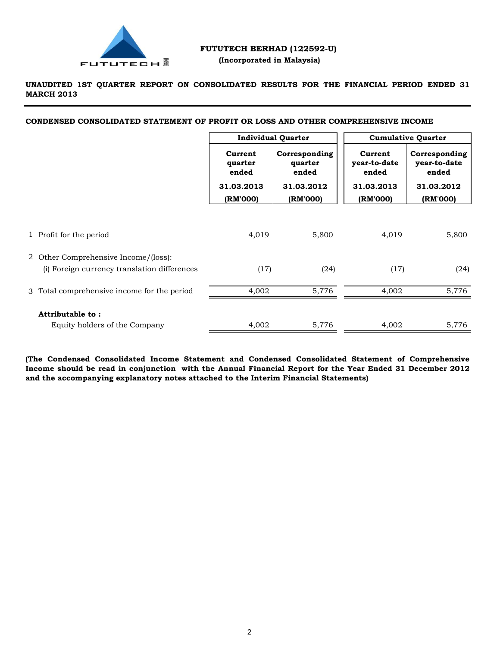

### **FUTUTECH BERHAD (122592-U) (Incorporated in Malaysia)**

**UNAUDITED 1ST QUARTER REPORT ON CONSOLIDATED RESULTS FOR THE FINANCIAL PERIOD ENDED 31 MARCH 2013**

**CONDENSED CONSOLIDATED STATEMENT OF PROFIT OR LOSS AND OTHER COMPREHENSIVE INCOME**

|                                                                                      | <b>Individual Quarter</b>   |                                   | <b>Cumulative Quarter</b>        |                                        |
|--------------------------------------------------------------------------------------|-----------------------------|-----------------------------------|----------------------------------|----------------------------------------|
|                                                                                      | Current<br>quarter<br>ended | Corresponding<br>quarter<br>ended | Current<br>year-to-date<br>ended | Corresponding<br>year-to-date<br>ended |
|                                                                                      | 31.03.2013                  | 31.03.2012                        | 31.03.2013                       | 31.03.2012                             |
|                                                                                      | (RM'000)                    | (RM'000)                          | (RM'000)                         | (RM'000)                               |
| 1 Profit for the period                                                              | 4,019                       | 5,800                             | 4,019                            | 5,800                                  |
| 2 Other Comprehensive Income/(loss):<br>(i) Foreign currency translation differences | (17)                        | (24)                              | (17)                             | (24)                                   |
| 3 Total comprehensive income for the period                                          | 4,002                       | 5,776                             | 4,002                            | 5,776                                  |
| Attributable to:<br>Equity holders of the Company                                    | 4,002                       | 5,776                             | 4,002                            | 5,776                                  |

**(The Condensed Consolidated Income Statement and Condensed Consolidated Statement of Comprehensive** Income should be read in conjunction with the Annual Financial Report for the Year Ended 31 December 2012 **and the accompanying explanatory notes attached to the Interim Financial Statements)**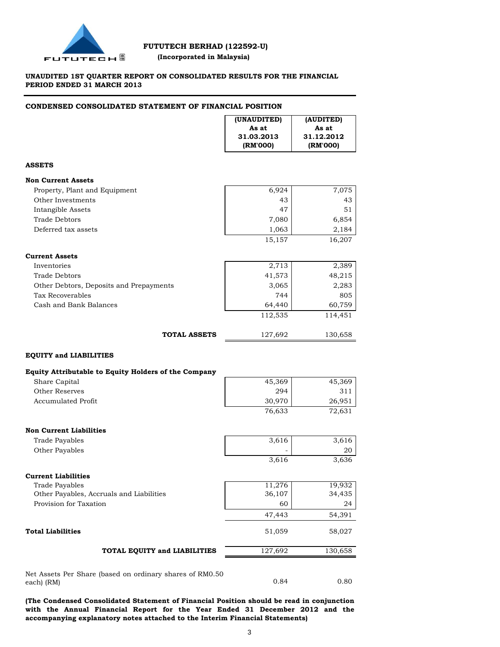

 **(Incorporated in Malaysia)**

### **UNAUDITED 1ST QUARTER REPORT ON CONSOLIDATED RESULTS FOR THE FINANCIAL PERIOD ENDED 31 MARCH 2013**

#### **CONDENSED CONSOLIDATED STATEMENT OF FINANCIAL POSITION**

|                                                          | (UNAUDITED)<br>As at<br>31.03.2013<br>(RM'000) | (AUDITED)<br>As at<br>31.12.2012<br>(RM'000) |
|----------------------------------------------------------|------------------------------------------------|----------------------------------------------|
| <b>ASSETS</b>                                            |                                                |                                              |
| <b>Non Current Assets</b>                                |                                                |                                              |
| Property, Plant and Equipment                            | 6,924                                          | 7,075                                        |
| Other Investments                                        | 43                                             | 43                                           |
| Intangible Assets                                        | 47                                             | 51                                           |
| <b>Trade Debtors</b>                                     | 7,080                                          | 6,854                                        |
| Deferred tax assets                                      | 1,063                                          | 2,184                                        |
|                                                          | 15,157                                         | 16,207                                       |
| <b>Current Assets</b>                                    |                                                |                                              |
| Inventories                                              | 2,713                                          | 2,389                                        |
| <b>Trade Debtors</b>                                     | 41,573                                         | 48,215                                       |
| Other Debtors, Deposits and Prepayments                  | 3,065                                          | 2,283                                        |
| Tax Recoverables                                         | 744                                            | 805                                          |
| Cash and Bank Balances                                   | 64,440                                         | 60,759                                       |
|                                                          | 112,535                                        | 114,451                                      |
| <b>TOTAL ASSETS</b>                                      | 127,692                                        | 130,658                                      |
| <b>EQUITY and LIABILITIES</b>                            |                                                |                                              |
| Equity Attributable to Equity Holders of the Company     |                                                |                                              |
| Share Capital                                            | 45,369                                         | 45,369                                       |
| <b>Other Reserves</b>                                    | 294                                            | 311                                          |
| <b>Accumulated Profit</b>                                | 30,970                                         | 26,951                                       |
|                                                          | 76,633                                         | 72,631                                       |
| <b>Non Current Liabilities</b>                           |                                                |                                              |
| <b>Trade Payables</b>                                    | 3,616                                          | 3,616                                        |
| Other Payables                                           |                                                | 20                                           |
|                                                          | 3,616                                          | 3,636                                        |
| <b>Current Liabilities</b>                               |                                                |                                              |
| Trade Payables                                           | 11,276                                         | 19,932                                       |
| Other Payables, Accruals and Liabilities                 | 36,107                                         | 34,435                                       |
| Provision for Taxation                                   | 60                                             | 24                                           |
|                                                          | 47,443                                         | 54,391                                       |
| <b>Total Liabilities</b>                                 | 51,059                                         | 58,027                                       |
| TOTAL EQUITY and LIABILITIES                             | 127,692                                        | 130,658                                      |
| Net Assets Per Share (based on ordinary shares of RM0.50 |                                                |                                              |
| each) (RM)                                               | 0.84                                           | 0.80                                         |
|                                                          |                                                |                                              |

**(The Condensed Consolidated Statement of Financial Position should be read in conjunction with the Annual Financial Report for the Year Ended 31 December 2012 and the accompanying explanatory notes attached to the Interim Financial Statements)**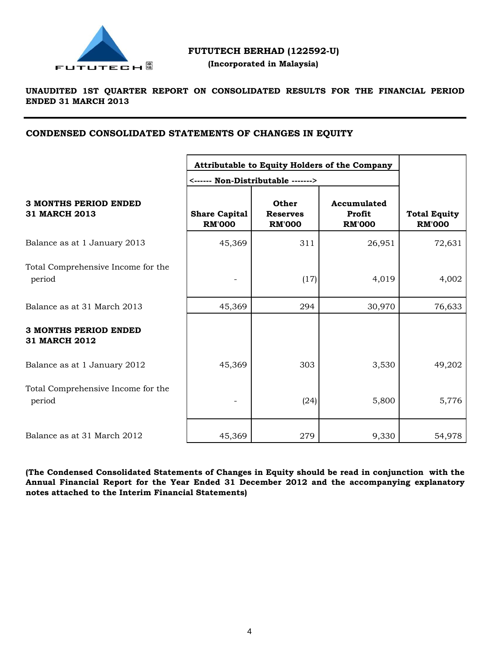

 **(Incorporated in Malaysia)**

### **UNAUDITED 1ST QUARTER REPORT ON CONSOLIDATED RESULTS FOR THE FINANCIAL PERIOD ENDED 31 MARCH 2013**

### **CONDENSED CONSOLIDATED STATEMENTS OF CHANGES IN EQUITY**

|                                                      | <------ Non-Distributable ------->    | Attributable to Equity Holders of the Company |                                        |                                      |
|------------------------------------------------------|---------------------------------------|-----------------------------------------------|----------------------------------------|--------------------------------------|
| <b>3 MONTHS PERIOD ENDED</b><br>31 MARCH 2013        | <b>Share Capital</b><br><b>RM'000</b> | Other<br><b>Reserves</b><br><b>RM'000</b>     | Accumulated<br>Profit<br><b>RM'000</b> | <b>Total Equity</b><br><b>RM'000</b> |
| Balance as at 1 January 2013                         | 45,369                                | 311                                           | 26,951                                 | 72,631                               |
| Total Comprehensive Income for the<br>period         |                                       | (17)                                          | 4,019                                  | 4,002                                |
| Balance as at 31 March 2013                          | 45,369                                | 294                                           | 30,970                                 | 76,633                               |
| <b>3 MONTHS PERIOD ENDED</b><br><b>31 MARCH 2012</b> |                                       |                                               |                                        |                                      |
| Balance as at 1 January 2012                         | 45,369                                | 303                                           | 3,530                                  | 49,202                               |
| Total Comprehensive Income for the<br>period         |                                       | (24)                                          | 5,800                                  | 5,776                                |
| Balance as at 31 March 2012                          | 45,369                                | 279                                           | 9,330                                  | 54,978                               |

**(The Condensed Consolidated Statements of Changes in Equity should be read in conjunction with the Annual Financial Report for the Year Ended 31 December 2012 and the accompanying explanatory notes attached to the Interim Financial Statements)**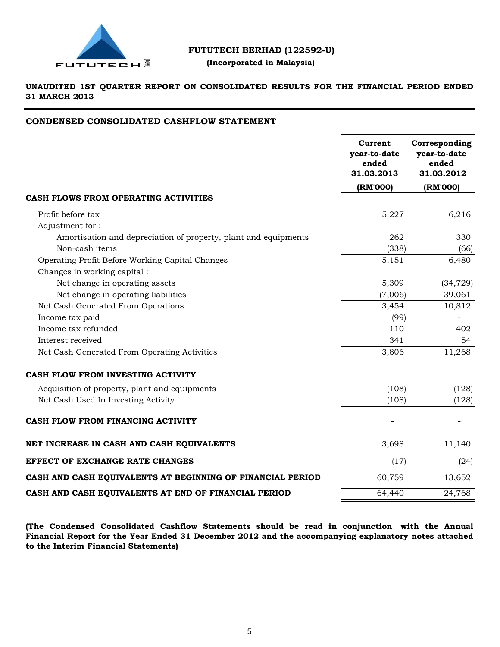

### **(Incorporated in Malaysia)**

**UNAUDITED 1ST QUARTER REPORT ON CONSOLIDATED RESULTS FOR THE FINANCIAL PERIOD ENDED 31 MARCH 2013**

### **CONDENSED CONSOLIDATED CASHFLOW STATEMENT**

|                                                                 | Current<br>year-to-date<br>ended<br>31.03.2013 | Corresponding<br>year-to-date<br>ended<br>31.03.2012 |
|-----------------------------------------------------------------|------------------------------------------------|------------------------------------------------------|
|                                                                 | (RM'000)                                       | (RM'000)                                             |
| CASH FLOWS FROM OPERATING ACTIVITIES                            |                                                |                                                      |
| Profit before tax                                               | 5,227                                          | 6,216                                                |
| Adjustment for:                                                 |                                                |                                                      |
| Amortisation and depreciation of property, plant and equipments | 262                                            | 330                                                  |
| Non-cash items                                                  | (338)                                          | (66)                                                 |
| Operating Profit Before Working Capital Changes                 | 5,151                                          | 6,480                                                |
| Changes in working capital:                                     |                                                |                                                      |
| Net change in operating assets                                  | 5,309                                          | (34, 729)                                            |
| Net change in operating liabilities                             | (7,006)                                        | 39,061                                               |
| Net Cash Generated From Operations                              | 3,454                                          | 10,812                                               |
| Income tax paid                                                 | (99)                                           |                                                      |
| Income tax refunded                                             | 110                                            | 402                                                  |
| Interest received                                               | 341                                            | 54                                                   |
| Net Cash Generated From Operating Activities                    | 3,806                                          | 11,268                                               |
| CASH FLOW FROM INVESTING ACTIVITY                               |                                                |                                                      |
| Acquisition of property, plant and equipments                   | (108)                                          | (128)                                                |
| Net Cash Used In Investing Activity                             | (108)                                          | (128)                                                |
| CASH FLOW FROM FINANCING ACTIVITY                               |                                                |                                                      |
| NET INCREASE IN CASH AND CASH EQUIVALENTS                       | 3,698                                          | 11,140                                               |
| <b>EFFECT OF EXCHANGE RATE CHANGES</b>                          | (17)                                           | (24)                                                 |
| CASH AND CASH EQUIVALENTS AT BEGINNING OF FINANCIAL PERIOD      | 60,759                                         | 13,652                                               |
| CASH AND CASH EQUIVALENTS AT END OF FINANCIAL PERIOD            | 64,440                                         | 24,768                                               |

**(The Condensed Consolidated Cashflow Statements should be read in conjunction with the Annual Financial Report for the Year Ended 31 December 2012 and the accompanying explanatory notes attached to the Interim Financial Statements)**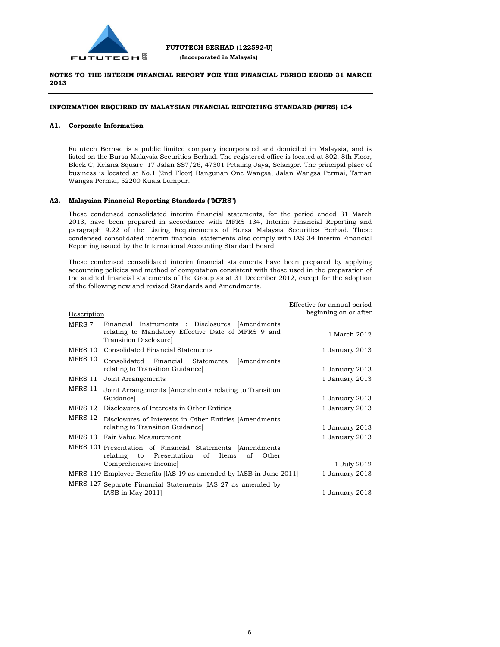

#### **INFORMATION REQUIRED BY MALAYSIAN FINANCIAL REPORTING STANDARD (MFRS) 134**

#### **A1. Corporate Information**

Fututech Berhad is a public limited company incorporated and domiciled in Malaysia, and is listed on the Bursa Malaysia Securities Berhad. The registered office is located at 802, 8th Floor, Block C, Kelana Square, 17 Jalan SS7/26, 47301 Petaling Jaya, Selangor. The principal place of business is located at No.1 (2nd Floor) Bangunan One Wangsa, Jalan Wangsa Permai, Taman Wangsa Permai, 52200 Kuala Lumpur.

#### **A2. Malaysian Financial Reporting Standards ("MFRS")**

These condensed consolidated interim financial statements, for the period ended 31 March 2013, have been prepared in accordance with MFRS 134, Interim Financial Reporting and paragraph 9.22 of the Listing Requirements of Bursa Malaysia Securities Berhad. These condensed consolidated interim financial statements also comply with IAS 34 Interim Financial Reporting issued by the International Accounting Standard Board.

These condensed consolidated interim financial statements have been prepared by applying accounting policies and method of computation consistent with those used in the preparation of the audited financial statements of the Group as at 31 December 2012, except for the adoption of the following new and revised Standards and Amendments.

|             |                                                                                                                     | Effective for annual period<br>beginning on or after |
|-------------|---------------------------------------------------------------------------------------------------------------------|------------------------------------------------------|
| Description |                                                                                                                     |                                                      |
| MFRS 7      | Financial Instruments : Disclosures [Amendments]<br>relating to Mandatory Effective Date of MFRS 9 and              | 1 March 2012                                         |
|             | Transition Disclosure]                                                                                              |                                                      |
| MFRS 10     | Consolidated Financial Statements                                                                                   | 1 January 2013                                       |
| MFRS 10     | Consolidated Financial Statements<br>[Amendments                                                                    |                                                      |
|             | relating to Transition Guidance                                                                                     | 1 January 2013                                       |
| MFRS 11     | Joint Arrangements                                                                                                  | 1 January 2013                                       |
| MFRS 11     | Joint Arrangements [Amendments relating to Transition                                                               |                                                      |
|             | Guidance]                                                                                                           | 1 January 2013                                       |
| MFRS 12     | Disclosures of Interests in Other Entities                                                                          | 1 January 2013                                       |
| MFRS 12     | Disclosures of Interests in Other Entities [Amendments]                                                             |                                                      |
|             | relating to Transition Guidance                                                                                     | 1 January 2013                                       |
| MFRS 13     | Fair Value Measurement                                                                                              | 1 January 2013                                       |
|             | MFRS 101 Presentation of Financial Statements [Amendments<br>Presentation of Items<br>Other<br>relating<br>οf<br>to |                                                      |
|             | Comprehensive Income]                                                                                               | 1 July 2012                                          |
|             | MFRS 119 Employee Benefits [IAS 19 as amended by IASB in June 2011]                                                 | 1 January 2013                                       |
|             | MFRS 127 Separate Financial Statements [IAS 27 as amended by                                                        |                                                      |
|             | IASB in May $2011$                                                                                                  | 1 January 2013                                       |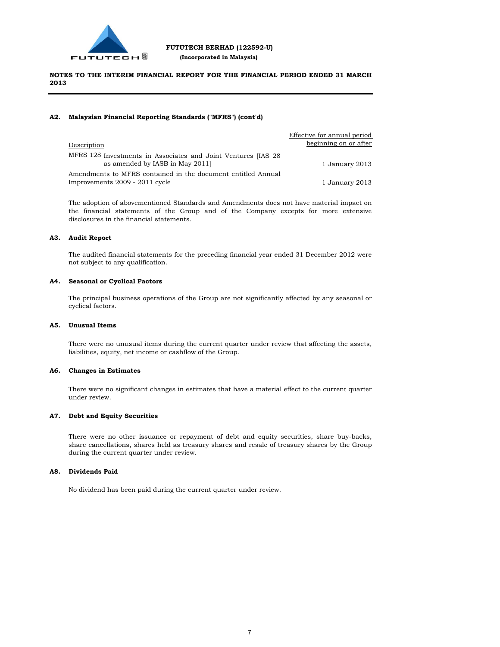

#### **A2. Malaysian Financial Reporting Standards ("MFRS") (cont'd)**

|                                                                                                  | Effective for annual period |
|--------------------------------------------------------------------------------------------------|-----------------------------|
| Description                                                                                      | beginning on or after       |
| MFRS 128 Investments in Associates and Joint Ventures [IAS 28]<br>as amended by IASB in May 2011 | 1 January 2013              |
| Amendments to MFRS contained in the document entitled Annual                                     |                             |
| Improvements 2009 - 2011 cycle                                                                   | 1 January 2013              |

The adoption of abovementioned Standards and Amendments does not have material impact on the financial statements of the Group and of the Company excepts for more extensive disclosures in the financial statements.

#### **A3. Audit Report**

The audited financial statements for the preceding financial year ended 31 December 2012 were not subject to any qualification.

#### **A4. Seasonal or Cyclical Factors**

The principal business operations of the Group are not significantly affected by any seasonal or cyclical factors.

#### **A5. Unusual Items**

There were no unusual items during the current quarter under review that affecting the assets, liabilities, equity, net income or cashflow of the Group.

#### **A6. Changes in Estimates**

There were no significant changes in estimates that have a material effect to the current quarter under review.

#### **A7. Debt and Equity Securities**

There were no other issuance or repayment of debt and equity securities, share buy-backs, share cancellations, shares held as treasury shares and resale of treasury shares by the Group during the current quarter under review.

#### **A8. Dividends Paid**

No dividend has been paid during the current quarter under review.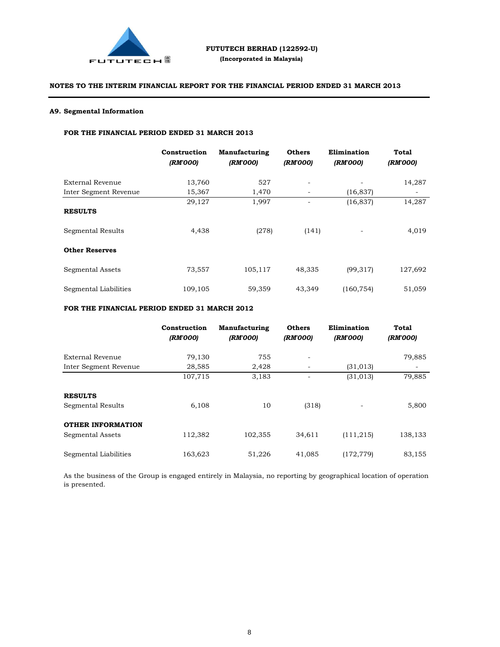

#### **A9. Segmental Information**

#### **FOR THE FINANCIAL PERIOD ENDED 31 MARCH 2013**

|                       | Construction<br>(RM'000) | Manufacturing<br>(RM'000) | <b>Others</b><br>(RM'000) | Elimination<br>(RM'000)  | <b>Total</b><br>(RM'000) |
|-----------------------|--------------------------|---------------------------|---------------------------|--------------------------|--------------------------|
| External Revenue      | 13,760                   | 527                       | $\overline{\phantom{a}}$  |                          | 14,287                   |
| Inter Segment Revenue | 15,367                   | 1,470                     | -                         | (16, 837)                | $\overline{\phantom{a}}$ |
|                       | 29,127                   | 1,997                     | -                         | (16, 837)                | 14,287                   |
| <b>RESULTS</b>        |                          |                           |                           |                          |                          |
| Segmental Results     | 4,438                    | (278)                     | (141)                     | $\overline{\phantom{a}}$ | 4,019                    |
| <b>Other Reserves</b> |                          |                           |                           |                          |                          |
| Segmental Assets      | 73,557                   | 105,117                   | 48,335                    | (99, 317)                | 127,692                  |
| Segmental Liabilities | 109,105                  | 59,359                    | 43,349                    | (160, 754)               | 51,059                   |

#### **FOR THE FINANCIAL PERIOD ENDED 31 MARCH 2012**

|                                              | Construction<br>(RM'000) | Manufacturing<br>(RM'000) | <b>Others</b><br>(RM'000) | Elimination<br>(RM'000) | <b>Total</b><br>(RM'000) |
|----------------------------------------------|--------------------------|---------------------------|---------------------------|-------------------------|--------------------------|
| External Revenue                             | 79,130                   | 755                       | -                         |                         | 79,885                   |
| Inter Segment Revenue                        | 28,585                   | 2,428                     |                           | (31, 013)               |                          |
|                                              | 107,715                  | 3,183                     |                           | (31, 013)               | 79,885                   |
| <b>RESULTS</b><br>Segmental Results          | 6,108                    | 10                        | (318)                     |                         | 5,800                    |
| <b>OTHER INFORMATION</b><br>Segmental Assets | 112,382                  | 102,355                   | 34,611                    | (111, 215)              | 138,133                  |
| Segmental Liabilities                        | 163,623                  | 51,226                    | 41,085                    | (172, 779)              | 83,155                   |

As the business of the Group is engaged entirely in Malaysia, no reporting by geographical location of operation is presented.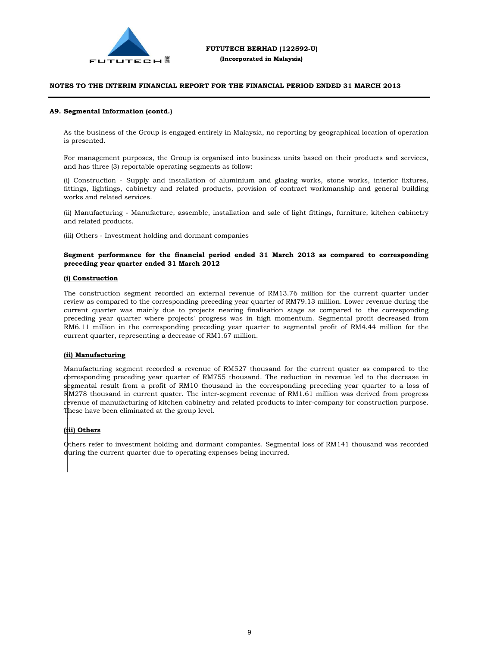

#### **A9. Segmental Information (contd.)**

As the business of the Group is engaged entirely in Malaysia, no reporting by geographical location of operation is presented.

For management purposes, the Group is organised into business units based on their products and services, and has three (3) reportable operating segments as follow:

(i) Construction - Supply and installation of aluminium and glazing works, stone works, interior fixtures, fittings, lightings, cabinetry and related products, provision of contract workmanship and general building works and related services.

(ii) Manufacturing - Manufacture, assemble, installation and sale of light fittings, furniture, kitchen cabinetry and related products.

(iii) Others - Investment holding and dormant companies

#### **Segment performance for the financial period ended 31 March 2013 as compared to corresponding preceding year quarter ended 31 March 2012**

#### **(i) Construction**

The construction segment recorded an external revenue of RM13.76 million for the current quarter under review as compared to the corresponding preceding year quarter of RM79.13 million. Lower revenue during the current quarter was mainly due to projects nearing finalisation stage as compared to the corresponding preceding year quarter where projects' progress was in high momentum. Segmental profit decreased from RM6.11 million in the corresponding preceding year quarter to segmental profit of RM4.44 million for the current quarter, representing a decrease of RM1.67 million.

#### **(ii) Manufacturing**

Manufacturing segment recorded a revenue of RM527 thousand for the current quater as compared to the corresponding preceding year quarter of RM755 thousand. The reduction in revenue led to the decrease in segmental result from a profit of RM10 thousand in the corresponding preceding year quarter to a loss of  $\rm RM278$  thousand in current quater. The inter-segment revenue of RM1.61 million was derived from progress revenue of manufacturing of kitchen cabinetry and related products to inter-company for construction purpose. These have been eliminated at the group level. (RM)<br>En payment of Experiment of Experiment of Experiment of Experiment of Experiment of Experiment of Experiment o<br>Experiment of Experiment of Experiment of Experiment of Experiment of Experiment of Experiment of Experime

#### **(iii) Others**

Others refer to investment holding and dormant companies. Segmental loss of RM141 thousand was recorded during the current quarter due to operating expenses being incurred. hti<br>Lu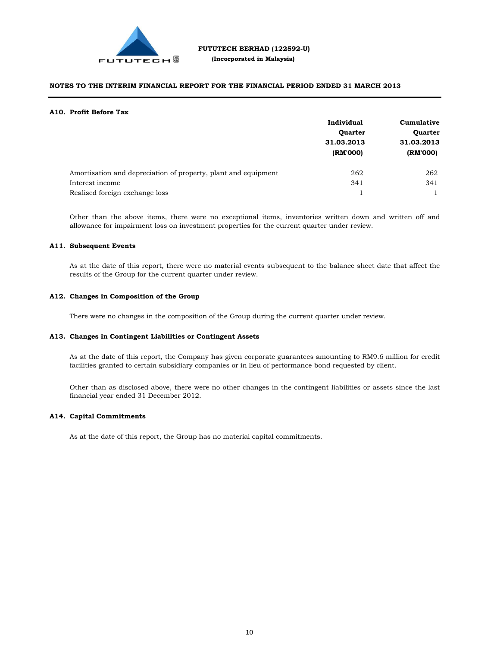

#### **A10. Profit Before Tax**

|                                                                | Individual             | Cumulative<br><b>Quarter</b><br>31.03.2013 |  |
|----------------------------------------------------------------|------------------------|--------------------------------------------|--|
|                                                                | <b>Quarter</b>         |                                            |  |
|                                                                | 31.03.2013<br>(RM'000) |                                            |  |
|                                                                |                        | (RM'000)                                   |  |
| Amortisation and depreciation of property, plant and equipment | 262                    | 262                                        |  |
| Interest income                                                | 341                    | 341                                        |  |
| Realised foreign exchange loss                                 |                        |                                            |  |

Other than the above items, there were no exceptional items, inventories written down and written off and allowance for impairment loss on investment properties for the current quarter under review.

#### **A11. Subsequent Events**

As at the date of this report, there were no material events subsequent to the balance sheet date that affect the results of the Group for the current quarter under review.

#### **A12. Changes in Composition of the Group**

There were no changes in the composition of the Group during the current quarter under review.

#### **A13. Changes in Contingent Liabilities or Contingent Assets**

As at the date of this report, the Company has given corporate guarantees amounting to RM9.6 million for credit facilities granted to certain subsidiary companies or in lieu of performance bond requested by client.

Other than as disclosed above, there were no other changes in the contingent liabilities or assets since the last financial year ended 31 December 2012.

#### **A14. Capital Commitments**

As at the date of this report, the Group has no material capital commitments.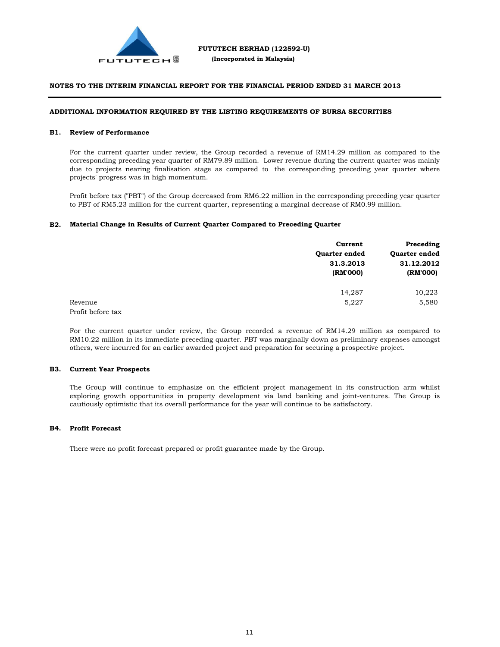

#### **ADDITIONAL INFORMATION REQUIRED BY THE LISTING REQUIREMENTS OF BURSA SECURITIES**

#### **B1. Review of Performance**

For the current quarter under review, the Group recorded a revenue of RM14.29 million as compared to the corresponding preceding year quarter of RM79.89 million. Lower revenue during the current quarter was mainly due to projects nearing finalisation stage as compared to the corresponding preceding year quarter where projects' progress was in high momentum.

Profit before tax ("PBT") of the Group decreased from RM6.22 million in the corresponding preceding year quarter to PBT of RM5.23 million for the current quarter, representing a marginal decrease of RM0.99 million.

#### **B2. Material Change in Results of Current Quarter Compared to Preceding Quarter**

|                   | Current       | Preceding            |  |
|-------------------|---------------|----------------------|--|
|                   | Quarter ended | <b>Ouarter ended</b> |  |
|                   | 31.3.2013     | 31.12.2012           |  |
|                   | (RM'000)      | (RM'000)             |  |
|                   | 14,287        | 10,223               |  |
| Revenue           | 5,227         | 5,580                |  |
| Profit before tax |               |                      |  |

For the current quarter under review, the Group recorded a revenue of RM14.29 million as compared to RM10.22 million in its immediate preceding quarter. PBT was marginally down as preliminary expenses amongst others, were incurred for an earlier awarded project and preparation for securing a prospective project.

#### **B3. Current Year Prospects**

The Group will continue to emphasize on the efficient project management in its construction arm whilst exploring growth opportunities in property development via land banking and joint-ventures. The Group is cautiously optimistic that its overall performance for the year will continue to be satisfactory.

#### **B4. Profit Forecast**

There were no profit forecast prepared or profit guarantee made by the Group.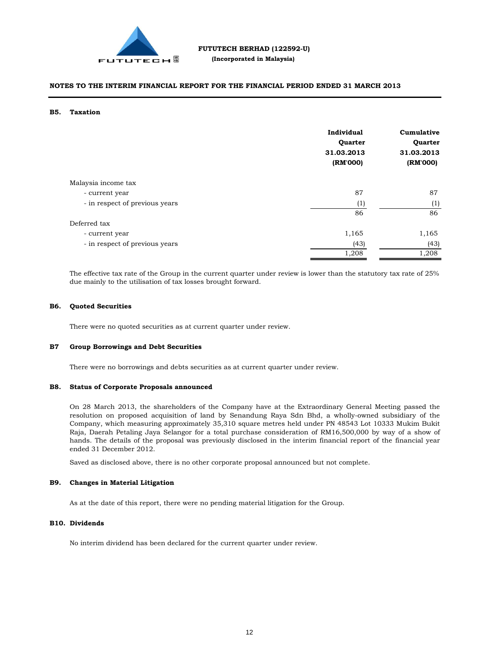

#### **B5. Taxation**

|                                | Individual<br>Quarter<br>31.03.2013<br>(RM'000) | Cumulative<br>Quarter<br>31.03.2013<br>(RM'000) |
|--------------------------------|-------------------------------------------------|-------------------------------------------------|
| Malaysia income tax            |                                                 |                                                 |
| - current year                 | 87                                              | 87                                              |
| - in respect of previous years | (1)                                             | (1)                                             |
|                                | 86                                              | 86                                              |
| Deferred tax                   |                                                 |                                                 |
| - current year                 | 1,165                                           | 1,165                                           |
| - in respect of previous years | (43)                                            | (43)                                            |
|                                | 1,208                                           | 1,208                                           |

The effective tax rate of the Group in the current quarter under review is lower than the statutory tax rate of 25% due mainly to the utilisation of tax losses brought forward.

#### **B6. Quoted Securities**

There were no quoted securities as at current quarter under review.

#### **B7 Group Borrowings and Debt Securities**

There were no borrowings and debts securities as at current quarter under review.

#### **B8. Status of Corporate Proposals announced**

On 28 March 2013, the shareholders of the Company have at the Extraordinary General Meeting passed the resolution on proposed acquisition of land by Senandung Raya Sdn Bhd, a wholly-owned subsidiary of the Company, which measuring approximately 35,310 square metres held under PN 48543 Lot 10333 Mukim Bukit Raja, Daerah Petaling Jaya Selangor for a total purchase consideration of RM16,500,000 by way of a show of hands. The details of the proposal was previously disclosed in the interim financial report of the financial year ended 31 December 2012.

Saved as disclosed above, there is no other corporate proposal announced but not complete.

#### **B9. Changes in Material Litigation**

As at the date of this report, there were no pending material litigation for the Group.

#### **B10. Dividends**

No interim dividend has been declared for the current quarter under review.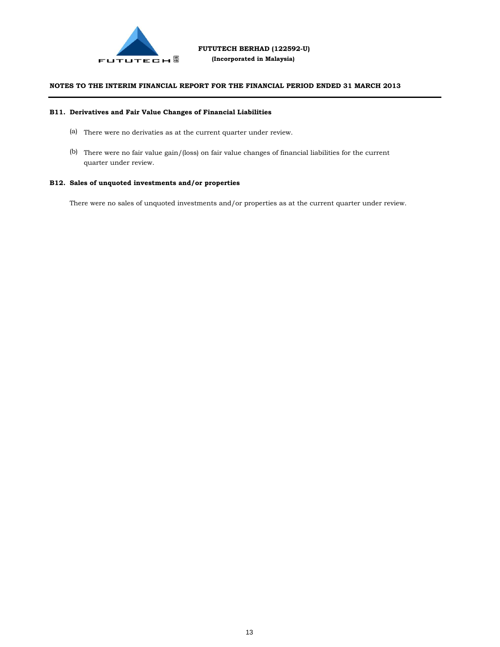

#### **B11. Derivatives and Fair Value Changes of Financial Liabilities**

- (a) There were no derivaties as at the current quarter under review.
- (b) There were no fair value gain/(loss) on fair value changes of financial liabilities for the current quarter under review.

#### **B12. Sales of unquoted investments and/or properties**

There were no sales of unquoted investments and/or properties as at the current quarter under review.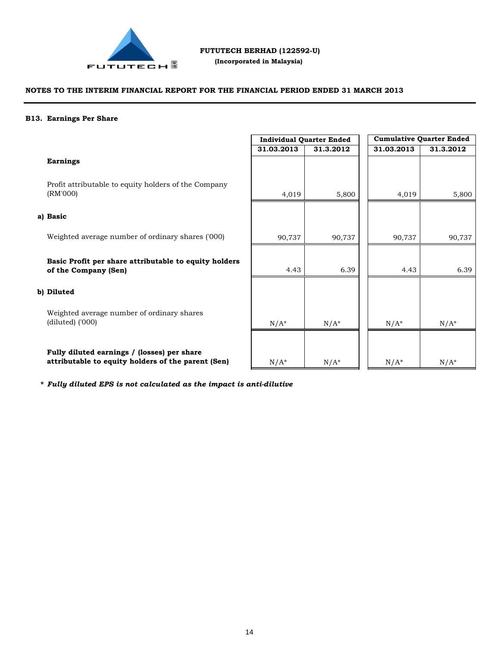

 **(Incorporated in Malaysia)**

#### **NOTES TO THE INTERIM FINANCIAL REPORT FOR THE FINANCIAL PERIOD ENDED 31 MARCH 2013**

#### **B13. Earnings Per Share**

## **Earnings**

Profit attributable to equity holders of the Company (RM'000)

#### **a) Basic**

Weighted average number of ordinary shares ('000)

**Basic Profit per share attributable to equity holders of the Company (Sen)**

#### **b) Diluted**

Weighted average number of ordinary shares (diluted) ('000)

**Fully diluted earnings / (losses) per share attributable to equity holders of the parent (Sen)**

|            | <b>Individual Quarter Ended</b> |  | <b>Cumulative Quarter Ended</b> |           |  |
|------------|---------------------------------|--|---------------------------------|-----------|--|
| 31.03.2013 | 31.3.2012                       |  | 31.03.2013                      | 31.3.2012 |  |
|            |                                 |  |                                 |           |  |
| 4,019      | 5,800                           |  | 4,019                           | 5,800     |  |
|            |                                 |  |                                 |           |  |
| 90,737     | 90,737                          |  | 90,737                          | 90,737    |  |
|            |                                 |  |                                 |           |  |
| 4.43       | 6.39                            |  | 4.43                            | 6.39      |  |
| $N/A^*$    | $N/A^*$                         |  | $N/A^*$                         | $N/A^*$   |  |
|            |                                 |  |                                 |           |  |
| $N/A^*$    | $N/A^*$                         |  | $N/A^*$                         | $N/A^*$   |  |

**\*** *Fully diluted EPS is not calculated as the impact is anti-dilutive*